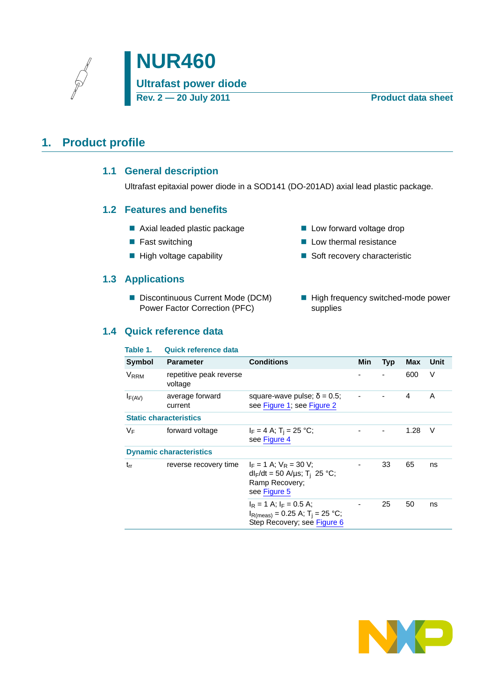# <span id="page-0-1"></span><span id="page-0-0"></span>**1. Product profile**

### **1.1 General description**

Ultrafast epitaxial power diode in a SOD141 (DO-201AD) axial lead plastic package.

#### <span id="page-0-2"></span>**1.2 Features and benefits**

- Axial leaded plastic package
- Fast switching
- $\blacksquare$  High voltage capability

#### <span id="page-0-3"></span>**1.3 Applications**

Discontinuous Current Mode (DCM) Power Factor Correction (PFC)

### <span id="page-0-4"></span>**1.4 Quick reference data**

- **Low forward voltage drop**
- $\blacksquare$  Low thermal resistance
- Soft recovery characteristic
- High frequency switched-mode power supplies

| Table 1.         | <b>Quick reference data</b>        |                                                                                                                   |     |            |      |        |
|------------------|------------------------------------|-------------------------------------------------------------------------------------------------------------------|-----|------------|------|--------|
| Symbol           | <b>Parameter</b>                   | <b>Conditions</b>                                                                                                 | Min | <b>Typ</b> | Max  | Unit   |
| V <sub>RRM</sub> | repetitive peak reverse<br>voltage |                                                                                                                   |     |            | 600  | $\vee$ |
| $I_{F(AV)}$      | average forward<br>current         | square-wave pulse; $\delta = 0.5$ ;<br>see Figure 1; see Figure 2                                                 |     |            | 4    | A      |
|                  | <b>Static characteristics</b>      |                                                                                                                   |     |            |      |        |
| VF               | forward voltage                    | $I_F = 4 A; T_i = 25 °C;$<br>see Figure 4                                                                         |     |            | 1.28 | $\vee$ |
|                  | <b>Dynamic characteristics</b>     |                                                                                                                   |     |            |      |        |
| $t_{rr}$         | reverse recovery time              | $I_F = 1$ A; $V_R = 30$ V;<br>$dI_F/dt = 50$ A/µs; T <sub>i</sub> 25 °C;<br>Ramp Recovery;<br>see Figure 5        |     | 33         | 65   | ns     |
|                  |                                    | $I_R = 1$ A; $I_F = 0.5$ A;<br>$I_{\rm R(meas)} = 0.25$ A; T <sub>i</sub> = 25 °C;<br>Step Recovery; see Figure 6 |     | 25         | 50   | ns     |

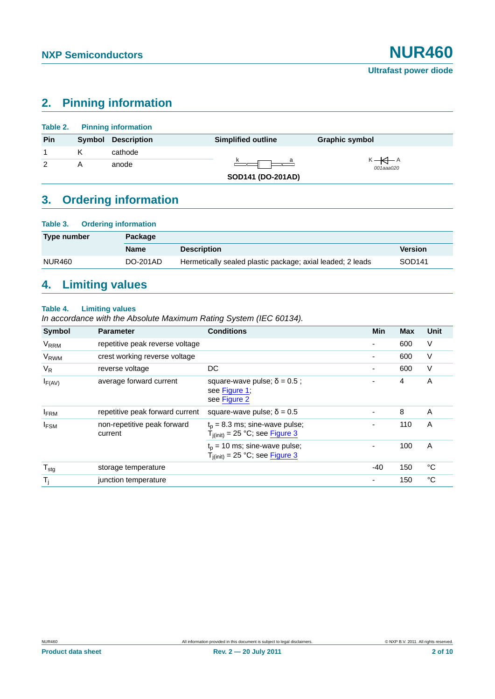## <span id="page-1-0"></span>**2. Pinning information**

|               | <b>Table 2.</b> Pinning information |                           |                                |
|---------------|-------------------------------------|---------------------------|--------------------------------|
| Pin           | <b>Symbol Description</b>           | <b>Simplified outline</b> | <b>Graphic symbol</b>          |
|               | cathode                             |                           |                                |
| $\mathcal{P}$ | anode                               |                           | $K \rightarrow A$<br>001aaa020 |
|               |                                     | SOD141 (DO-201AD)         |                                |

# <span id="page-1-1"></span>**3. Ordering information**

| Table 3.      | <b>Ordering information</b> |                                                            |                    |
|---------------|-----------------------------|------------------------------------------------------------|--------------------|
| Type number   | Package                     |                                                            |                    |
|               | <b>Name</b>                 | <b>Description</b>                                         | <b>Version</b>     |
| <b>NUR460</b> | DO-201AD                    | Hermetically sealed plastic package; axial leaded; 2 leads | SOD <sub>141</sub> |

# <span id="page-1-2"></span>**4. Limiting values**

#### **Table 4. Limiting values**

*In accordance with the Absolute Maximum Rating System (IEC 60134).*

| Symbol                 | <b>Parameter</b>                       | <b>Conditions</b>                                                           | Min   | <b>Max</b> | Unit |
|------------------------|----------------------------------------|-----------------------------------------------------------------------------|-------|------------|------|
| <b>V<sub>RRM</sub></b> | repetitive peak reverse voltage        |                                                                             | ۰     | 600        | V    |
| V <sub>RWM</sub>       | crest working reverse voltage          |                                                                             | -     | 600        | V    |
| $V_{R}$                | reverse voltage                        | DC                                                                          |       | 600        | V    |
| $I_{F(AV)}$            | average forward current                | square-wave pulse; $\delta = 0.5$ ;<br>see Figure 1;<br>see Figure 2        |       | 4          | A    |
| <b>IFRM</b>            | repetitive peak forward current        | square-wave pulse; $\delta = 0.5$                                           |       | 8          | A    |
| <b>IFSM</b>            | non-repetitive peak forward<br>current | $t_p = 8.3$ ms; sine-wave pulse;<br>$T_{j (init)} = 25 °C$ ; see $Figure 3$ |       | 110        | A    |
|                        |                                        | $t_0$ = 10 ms; sine-wave pulse;<br>$T_{i(init)} = 25 °C$ ; see Figure 3     | ٠     | 100        | A    |
| $T_{\text{stg}}$       | storage temperature                    |                                                                             | $-40$ | 150        | °C   |
| $T_j$                  | junction temperature                   |                                                                             | -     | 150        | °C   |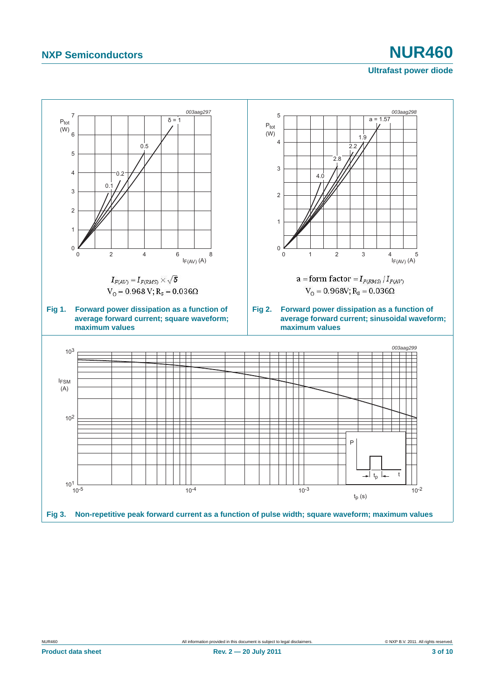<span id="page-2-1"></span>

<span id="page-2-2"></span><span id="page-2-0"></span>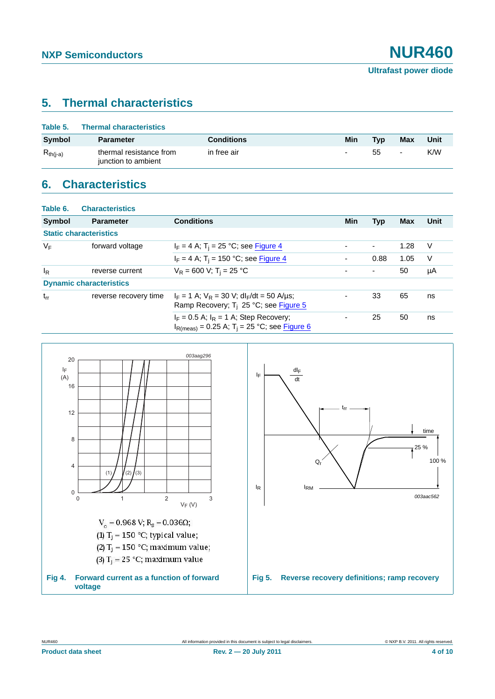## <span id="page-3-2"></span>**5. Thermal characteristics**

| Table 5.      | <b>Thermal characteristics</b>                 |                   |     |            |                          |      |
|---------------|------------------------------------------------|-------------------|-----|------------|--------------------------|------|
| <b>Symbol</b> | <b>Parameter</b>                               | <b>Conditions</b> | Min | <b>Typ</b> | Max                      | Unit |
| $R_{th(i-a)}$ | thermal resistance from<br>junction to ambient | in free air       | ٠   | 55         | $\overline{\phantom{0}}$ | K/W  |

# <span id="page-3-3"></span>**6. Characteristics**

| Table 6. | <b>Characteristics</b>         |                                                                                                                   |     |                          |            |      |
|----------|--------------------------------|-------------------------------------------------------------------------------------------------------------------|-----|--------------------------|------------|------|
| Symbol   | <b>Parameter</b>               | <b>Conditions</b>                                                                                                 | Min | <b>Typ</b>               | <b>Max</b> | Unit |
|          | <b>Static characteristics</b>  |                                                                                                                   |     |                          |            |      |
| $V_F$    | forward voltage                | $I_F = 4$ A; T <sub>i</sub> = 25 °C; see Figure 4                                                                 | ٠   |                          | 1.28       | V    |
|          |                                | $I_F = 4$ A; T <sub>i</sub> = 150 °C; see Figure 4                                                                | ٠   | 0.88                     | 1.05       | V    |
| $I_R$    | reverse current                | $V_R = 600 V$ ; T <sub>i</sub> = 25 °C                                                                            | ۰   | $\overline{\phantom{a}}$ | 50         | μA   |
|          | <b>Dynamic characteristics</b> |                                                                                                                   |     |                          |            |      |
| $t_{rr}$ | reverse recovery time          | $I_F = 1$ A; $V_R = 30$ V; dl <sub>F</sub> /dt = 50 A/us;<br>Ramp Recovery; $T_i$ 25 °C; see Figure 5             |     | 33                       | 65         | ns   |
|          |                                | $I_F = 0.5$ A; $I_R = 1$ A; Step Recovery;<br>$I_{\text{R(meas)}}$ = 0.25 A; T <sub>i</sub> = 25 °C; see Figure 6 |     | 25                       | 50         | ns   |



<span id="page-3-1"></span>(3)  $T_i = 25$  °C; maximum value

<span id="page-3-0"></span>**Fig 4. Forward current as a function of forward voltage**

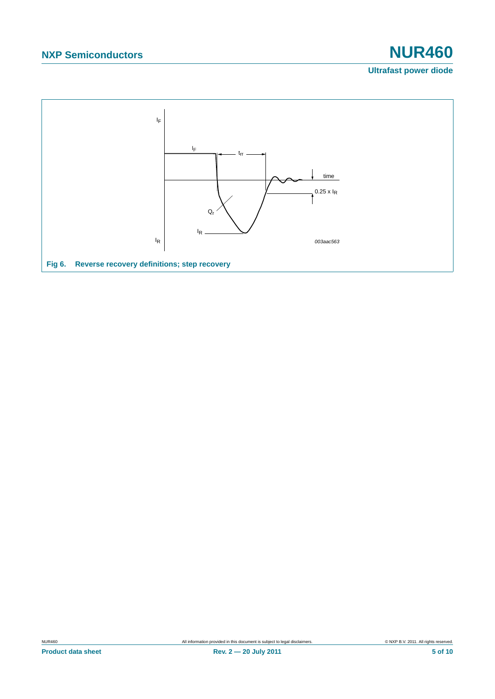# **NXP Semiconductors NUR460**

### **Ultrafast power diode**

<span id="page-4-0"></span>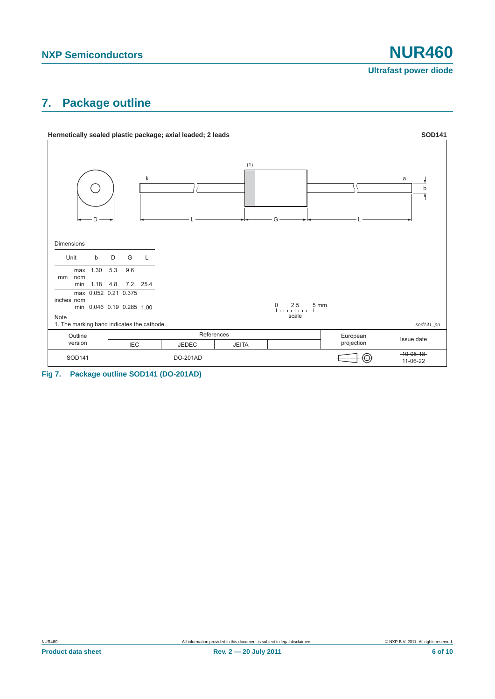**Ultrafast power diode**

## <span id="page-5-0"></span>**7. Package outline**



**Fig 7. Package outline SOD141 (DO-201AD)**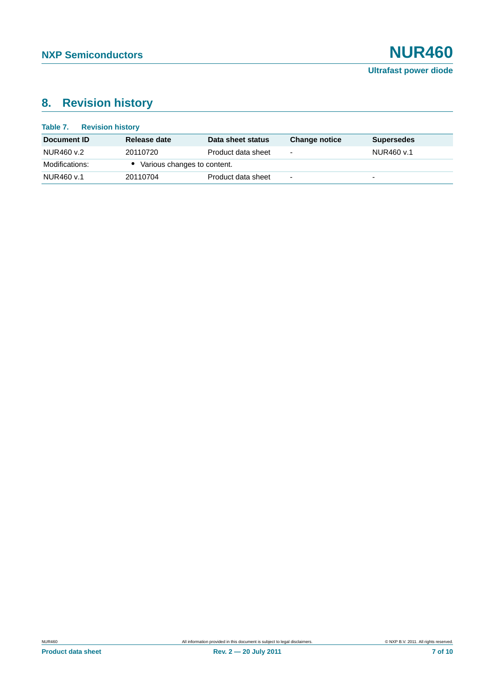# <span id="page-6-0"></span>**8. Revision history**

| Table 7.<br><b>Revision history</b> |                               |                    |                          |                          |
|-------------------------------------|-------------------------------|--------------------|--------------------------|--------------------------|
| Document ID                         | Release date                  | Data sheet status  | <b>Change notice</b>     | <b>Supersedes</b>        |
| NUR460 v.2                          | 20110720                      | Product data sheet | ۰                        | NUR460 v.1               |
| Modifications:                      | • Various changes to content. |                    |                          |                          |
| NUR460 v.1                          | 20110704                      | Product data sheet | $\overline{\phantom{0}}$ | $\overline{\phantom{0}}$ |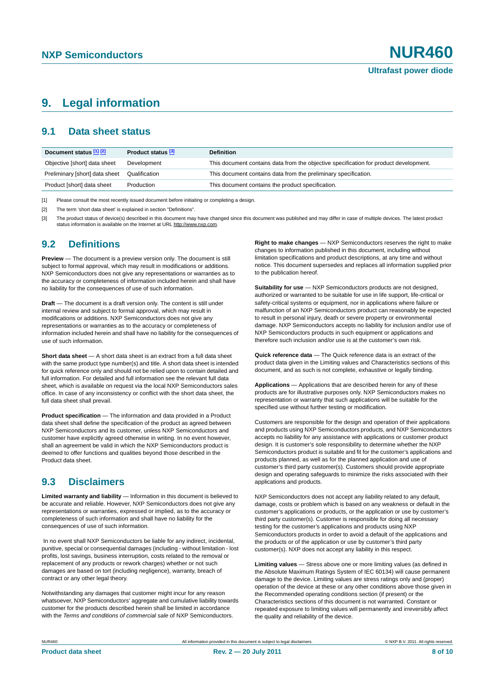## <span id="page-7-3"></span>**9. Legal information**

#### <span id="page-7-4"></span>**9.1 Data sheet status**

| Document status [1] [2]        | Product status [3] | <b>Definition</b>                                                                     |
|--------------------------------|--------------------|---------------------------------------------------------------------------------------|
| Objective [short] data sheet   | Development        | This document contains data from the objective specification for product development. |
| Preliminary [short] data sheet | Qualification      | This document contains data from the preliminary specification.                       |
| Product [short] data sheet     | Production         | This document contains the product specification.                                     |

<span id="page-7-0"></span>[1] Please consult the most recently issued document before initiating or completing a design.

<span id="page-7-1"></span>[2] The term 'short data sheet' is explained in section "Definitions"

<span id="page-7-2"></span>[3] The product status of device(s) described in this document may have changed since this document was published and may differ in case of multiple devices. The latest product<br>status information is available on the Intern

#### <span id="page-7-5"></span>**9.2 Definitions**

**Preview** — The document is a preview version only. The document is still subject to formal approval, which may result in modifications or additions. NXP Semiconductors does not give any representations or warranties as to the accuracy or completeness of information included herein and shall have no liability for the consequences of use of such information.

**Draft** — The document is a draft version only. The content is still under internal review and subject to formal approval, which may result in modifications or additions. NXP Semiconductors does not give any representations or warranties as to the accuracy or completeness of information included herein and shall have no liability for the consequences of use of such information.

**Short data sheet** — A short data sheet is an extract from a full data sheet with the same product type number(s) and title. A short data sheet is intended for quick reference only and should not be relied upon to contain detailed and full information. For detailed and full information see the relevant full data sheet, which is available on request via the local NXP Semiconductors sales office. In case of any inconsistency or conflict with the short data sheet, the full data sheet shall prevail.

**Product specification** — The information and data provided in a Product data sheet shall define the specification of the product as agreed between NXP Semiconductors and its customer, unless NXP Semiconductors and customer have explicitly agreed otherwise in writing. In no event however, shall an agreement be valid in which the NXP Semiconductors product is deemed to offer functions and qualities beyond those described in the Product data sheet.

### <span id="page-7-6"></span>**9.3 Disclaimers**

**Limited warranty and liability** — Information in this document is believed to be accurate and reliable. However, NXP Semiconductors does not give any representations or warranties, expressed or implied, as to the accuracy or completeness of such information and shall have no liability for the consequences of use of such information.

 In no event shall NXP Semiconductors be liable for any indirect, incidental, punitive, special or consequential damages (including - without limitation - lost profits, lost savings, business interruption, costs related to the removal or replacement of any products or rework charges) whether or not such damages are based on tort (including negligence), warranty, breach of contract or any other legal theory.

Notwithstanding any damages that customer might incur for any reason whatsoever, NXP Semiconductors' aggregate and cumulative liability towards customer for the products described herein shall be limited in accordance with the *Terms and conditions of commercial sale* of NXP Semiconductors.

**Right to make changes** — NXP Semiconductors reserves the right to make changes to information published in this document, including without limitation specifications and product descriptions, at any time and without notice. This document supersedes and replaces all information supplied prior to the publication hereof.

**Suitability for use** — NXP Semiconductors products are not designed, authorized or warranted to be suitable for use in life support, life-critical or safety-critical systems or equipment, nor in applications where failure or malfunction of an NXP Semiconductors product can reasonably be expected to result in personal injury, death or severe property or environmental damage. NXP Semiconductors accepts no liability for inclusion and/or use of NXP Semiconductors products in such equipment or applications and therefore such inclusion and/or use is at the customer's own risk.

**Quick reference data** — The Quick reference data is an extract of the product data given in the Limiting values and Characteristics sections of this document, and as such is not complete, exhaustive or legally binding.

**Applications** — Applications that are described herein for any of these products are for illustrative purposes only. NXP Semiconductors makes no representation or warranty that such applications will be suitable for the specified use without further testing or modification.

Customers are responsible for the design and operation of their applications and products using NXP Semiconductors products, and NXP Semiconductors accepts no liability for any assistance with applications or customer product design. It is customer's sole responsibility to determine whether the NXP Semiconductors product is suitable and fit for the customer's applications and products planned, as well as for the planned application and use of customer's third party customer(s). Customers should provide appropriate design and operating safeguards to minimize the risks associated with their applications and products.

NXP Semiconductors does not accept any liability related to any default, damage, costs or problem which is based on any weakness or default in the customer's applications or products, or the application or use by customer's third party customer(s). Customer is responsible for doing all necessary testing for the customer's applications and products using NXP Semiconductors products in order to avoid a default of the applications and the products or of the application or use by customer's third party customer(s). NXP does not accept any liability in this respect.

**Limiting values** — Stress above one or more limiting values (as defined in the Absolute Maximum Ratings System of IEC 60134) will cause permanent damage to the device. Limiting values are stress ratings only and (proper) operation of the device at these or any other conditions above those given in the Recommended operating conditions section (if present) or the Characteristics sections of this document is not warranted. Constant or repeated exposure to limiting values will permanently and irreversibly affect the quality and reliability of the device.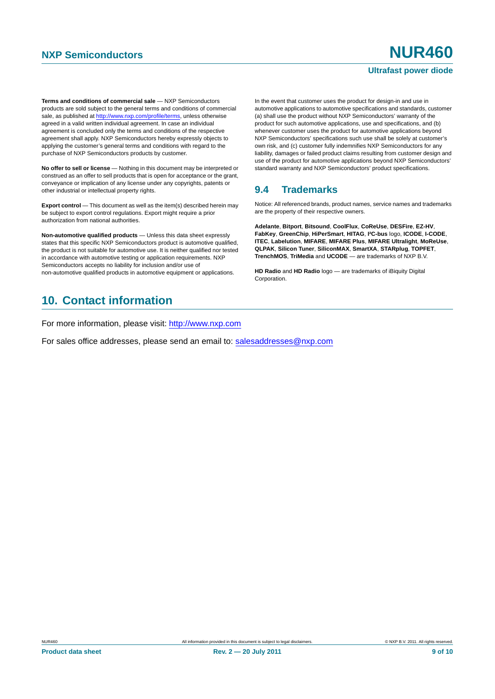#### **Ultrafast power diode**

**Terms and conditions of commercial sale** — NXP Semiconductors products are sold subject to the general terms and conditions of commercial sale, as published at http://www.nxp.com/profile/terms, unless otherwise agreed in a valid written individual agreement. In case an individual agreement is concluded only the terms and conditions of the respective agreement shall apply. NXP Semiconductors hereby expressly objects to applying the customer's general terms and conditions with regard to the purchase of NXP Semiconductors products by customer.

**No offer to sell or license** — Nothing in this document may be interpreted or construed as an offer to sell products that is open for acceptance or the grant, conveyance or implication of any license under any copyrights, patents or other industrial or intellectual property rights.

**Export control** — This document as well as the item(s) described herein may be subject to export control regulations. Export might require a prior authorization from national authorities.

**Non-automotive qualified products** — Unless this data sheet expressly states that this specific NXP Semiconductors product is automotive qualified, the product is not suitable for automotive use. It is neither qualified nor tested in accordance with automotive testing or application requirements. NXP Semiconductors accepts no liability for inclusion and/or use of non-automotive qualified products in automotive equipment or applications.

## <span id="page-8-1"></span>**10. Contact information**

For more information, please visit: http://www.nxp.com

For sales office addresses, please send an email to: salesaddresses@nxp.com

In the event that customer uses the product for design-in and use in automotive applications to automotive specifications and standards, customer (a) shall use the product without NXP Semiconductors' warranty of the product for such automotive applications, use and specifications, and (b) whenever customer uses the product for automotive applications beyond NXP Semiconductors' specifications such use shall be solely at customer's own risk, and (c) customer fully indemnifies NXP Semiconductors for any liability, damages or failed product claims resulting from customer design and use of the product for automotive applications beyond NXP Semiconductors' standard warranty and NXP Semiconductors' product specifications.

### <span id="page-8-0"></span>**9.4 Trademarks**

Notice: All referenced brands, product names, service names and trademarks are the property of their respective owners.

**Adelante**, **Bitport**, **Bitsound**, **CoolFlux**, **CoReUse**, **DESFire**, **EZ-HV**, **FabKey**, **GreenChip**, **HiPerSmart**, **HITAG**, **I²C-bus** logo, **ICODE**, **I-CODE**, **ITEC**, **Labelution**, **MIFARE**, **MIFARE Plus**, **MIFARE Ultralight**, **MoReUse**, **QLPAK**, **Silicon Tuner**, **SiliconMAX**, **SmartXA**, **STARplug**, **TOPFET**, **TrenchMOS**, **TriMedia** and **UCODE** — are trademarks of NXP B.V.

**HD Radio** and **HD Radio** logo — are trademarks of iBiquity Digital Corporation.